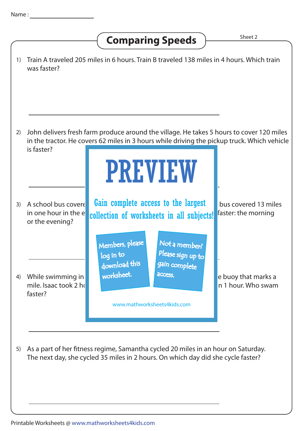## **Comparing Speeds**  $\overline{\phantom{a}}$ <sup>Sheet 2</sup>